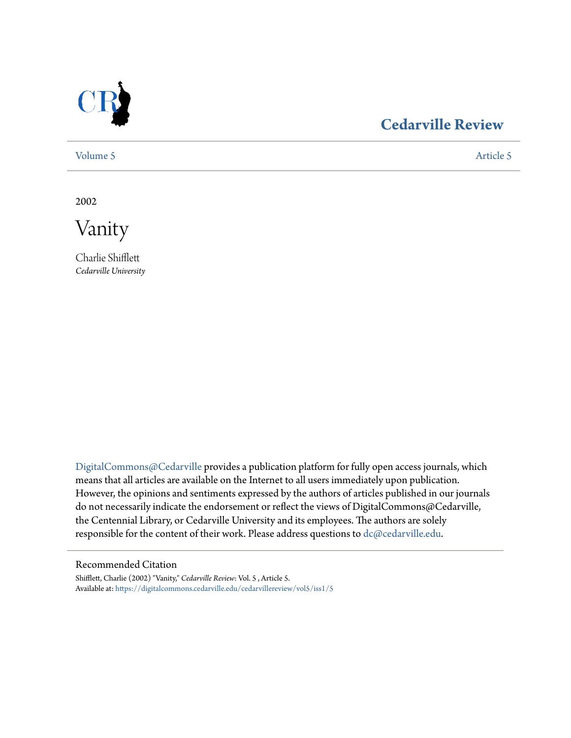

# **[Cedarville Review](https://digitalcommons.cedarville.edu/cedarvillereview?utm_source=digitalcommons.cedarville.edu%2Fcedarvillereview%2Fvol5%2Fiss1%2F5&utm_medium=PDF&utm_campaign=PDFCoverPages)**

[Volume 5](https://digitalcommons.cedarville.edu/cedarvillereview/vol5?utm_source=digitalcommons.cedarville.edu%2Fcedarvillereview%2Fvol5%2Fiss1%2F5&utm_medium=PDF&utm_campaign=PDFCoverPages) [Article 5](https://digitalcommons.cedarville.edu/cedarvillereview/vol5/iss1/5?utm_source=digitalcommons.cedarville.edu%2Fcedarvillereview%2Fvol5%2Fiss1%2F5&utm_medium=PDF&utm_campaign=PDFCoverPages)

2002

Vanity

Charlie Shifflett *Cedarville University*

[DigitalCommons@Cedarville](http://digitalcommons.cedarville.edu) provides a publication platform for fully open access journals, which means that all articles are available on the Internet to all users immediately upon publication. However, the opinions and sentiments expressed by the authors of articles published in our journals do not necessarily indicate the endorsement or reflect the views of DigitalCommons@Cedarville, the Centennial Library, or Cedarville University and its employees. The authors are solely responsible for the content of their work. Please address questions to [dc@cedarville.edu](mailto:dc@cedarville.edu).

# Recommended Citation

Shifflett, Charlie (2002) "Vanity," *Cedarville Review*: Vol. 5 , Article 5. Available at: [https://digitalcommons.cedarville.edu/cedarvillereview/vol5/iss1/5](https://digitalcommons.cedarville.edu/cedarvillereview/vol5/iss1/5?utm_source=digitalcommons.cedarville.edu%2Fcedarvillereview%2Fvol5%2Fiss1%2F5&utm_medium=PDF&utm_campaign=PDFCoverPages)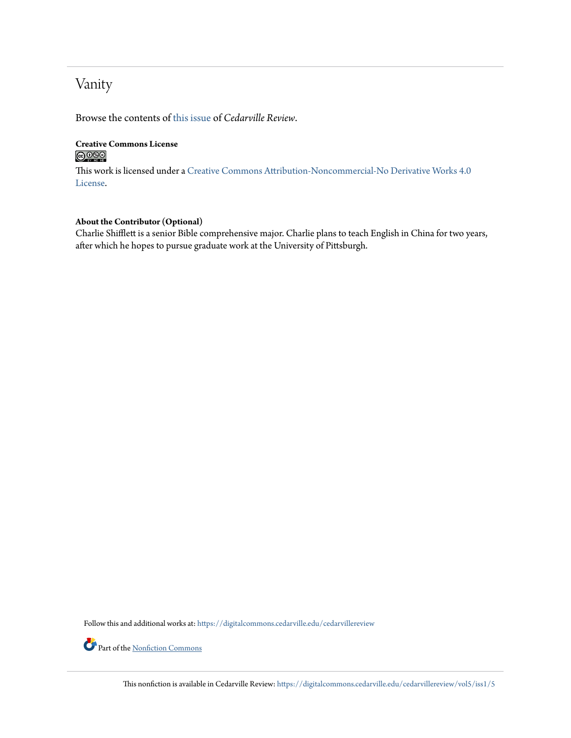# Vanity

Browse the contents of [this issue](https://digitalcommons.cedarville.edu/cedarvillereview/vol5/iss1) of *Cedarville Review*.

# **Creative Commons License**  $\bigcirc$   $\circ$

This work is licensed under a [Creative Commons Attribution-Noncommercial-No Derivative Works 4.0](http://creativecommons.org/licenses/by-nc-nd/4.0/) [License.](http://creativecommons.org/licenses/by-nc-nd/4.0/)

# **About the Contributor (Optional)**

Charlie Shifflett is a senior Bible comprehensive major. Charlie plans to teach English in China for two years, after which he hopes to pursue graduate work at the University of Pittsburgh.

Follow this and additional works at: [https://digitalcommons.cedarville.edu/cedarvillereview](https://digitalcommons.cedarville.edu/cedarvillereview?utm_source=digitalcommons.cedarville.edu%2Fcedarvillereview%2Fvol5%2Fiss1%2F5&utm_medium=PDF&utm_campaign=PDFCoverPages)

Part of the <u>[Nonfiction Commons](http://network.bepress.com/hgg/discipline/1152?utm_source=digitalcommons.cedarville.edu%2Fcedarvillereview%2Fvol5%2Fiss1%2F5&utm_medium=PDF&utm_campaign=PDFCoverPages)</u>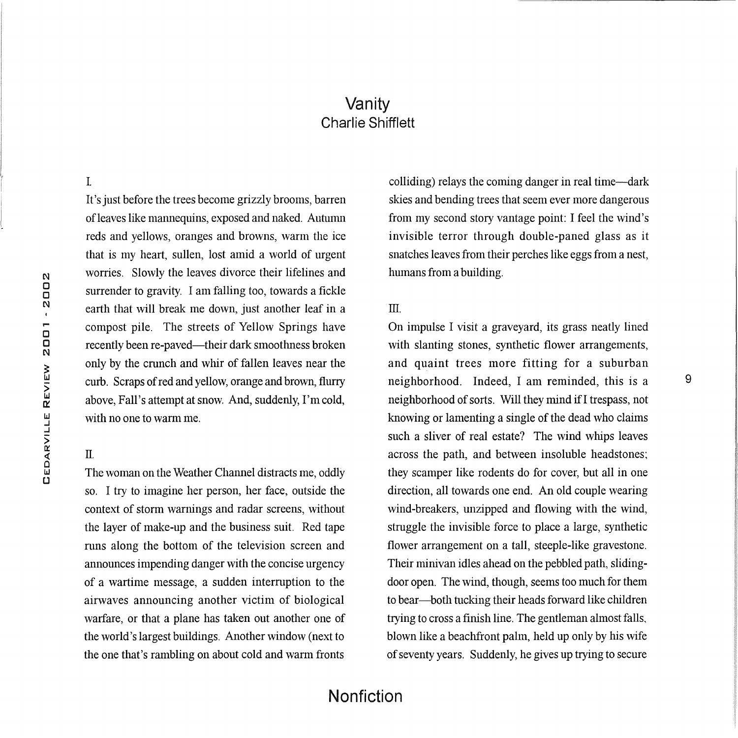# Vanity Charlie Shifflett

#### I.

It's just before the trees become grizzly brooms, barren of leaves like mannequins, exposed and naked. Autumn reds and yellows, oranges and browns, warm the ice that is my heart, sullen, lost amid a world of urgent worries. Slowly the leaves divorce their lifelines and surrender to gravity. I am falling too, towards a fickle earth that will break me down, just another leaf in a compost pile. The streets of Yellow Springs have recently been re-paved—their dark smoothness broken only by the crunch and whir of fallen leaves near the curb. Scraps of red and yellow, orange and brown, flurry above, Fall's attempt at snow. And, suddenly, I'm cold, with no one to warm me.

# II.

The woman on the Weather Channel distracts me, oddly so. I try to imagine her person, her face, outside the context of storm warnings and radar screens, without the layer of make-up and the business suit. Red tape runs along the bottom of the television screen and announces impending danger with the concise urgency of a wartime message, a sudden interruption to the airwaves announcing another victim of biological warfare, or that a plane has taken out another one of the world's largest buildings. Another window (next to the one that's rambling on about cold and warm fronts

colliding) relays the coming danger in real time—dark skies and bending trees that seem ever more dangerous from my second story vantage point: I feel the wind's invisible terror through double-paned glass as it snatches leaves from their perches like eggs from a nest, humans from a building.

#### $\mathbf{I}$

On impulse I visit a graveyard, its grass neatly lined with slanting stones, synthetic flower arrangements, and quaint trees more fitting for a suburban neighborhood. Indeed, I am reminded, this is a neighborhood of sorts. Will they mind if I trespass, not knowing or lamenting a single of the dead who claims such a sliver of real estate? The wind whips leaves across the path, and between insoluble headstones; they scamper like rodents do for cover, but all in one direction, all towards one end. An old couple wearing wind-breakers, unzipped and flowing with the wind, struggle the invisible force to place a large, synthetic flower arrangement on a tall, steeple-like gravestone. Their minivan idles ahead on the pebbled path, slidingdoor open. The wind, though, seems too much for them to bear-both tucking their heads forward like children trying to cross a finish line. The gentleman almost falls, blown like a beachfront palm, held up only by his wife of seventy years. Suddenly, he gives up trying to secure